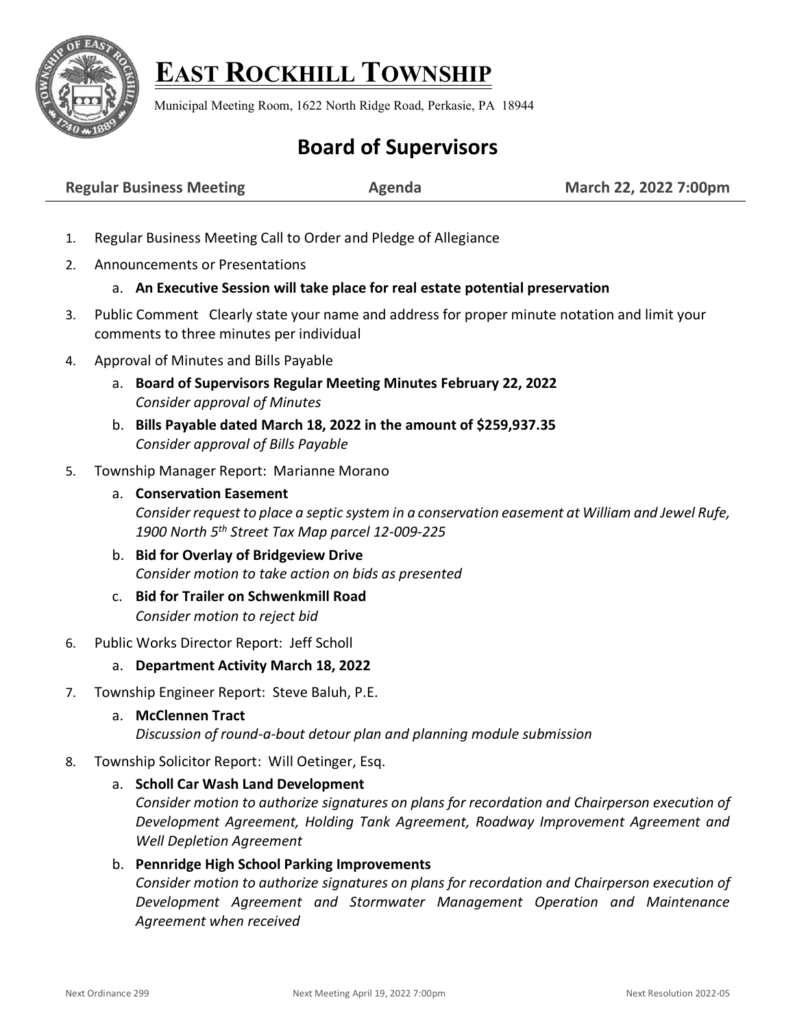

## **EAST ROCKHILL TOWNSHIP**

Municipal Meeting Room, 1622 North Ridge Road, Perkasie, PA 18944

## **Board of Supervisors**

**Regular Business Meeting**  $\blacksquare$  **Agenda**  $\blacksquare$  March 22, 2022 7:00pm

- 1. Regular Business Meeting Call to Order and Pledge of Allegiance
- 2. Announcements or Presentations

## a. **An Executive Session will take place for real estate potential preservation**

- 3. Public Comment Clearly state your name and address for proper minute notation and limit your comments to three minutes per individual
- 4. Approval of Minutes and Bills Payable
	- a. **Board of Supervisors Regular Meeting Minutes February 22, 2022** *Consider approval of Minutes*
	- b. **Bills Payable dated March 18, 2022 in the amount of \$259,937.35** *Consider approval of Bills Payable*
- 5. Township Manager Report: Marianne Morano
	- a. **Conservation Easement**  *Consider request to place a septic system in a conservation easement at William and Jewel Rufe, 1900 North 5th Street Tax Map parcel 12-009-225*
	- b. **Bid for Overlay of Bridgeview Drive** *Consider motion to take action on bids as presented*
	- c. **Bid for Trailer on Schwenkmill Road** *Consider motion to reject bid*
- 6. Public Works Director Report: Jeff Scholl
	- a. **Department Activity March 18, 2022**
- 7. Township Engineer Report: Steve Baluh, P.E.
	- a. **McClennen Tract**

*Discussion of round-a-bout detour plan and planning module submission*

- 8. Township Solicitor Report: Will Oetinger, Esq.
	- a. **Scholl Car Wash Land Development**

*Consider motion to authorize signatures on plans for recordation and Chairperson execution of Development Agreement, Holding Tank Agreement, Roadway Improvement Agreement and Well Depletion Agreement* 

## b. **Pennridge High School Parking Improvements**

*Consider motion to authorize signatures on plans for recordation and Chairperson execution of Development Agreement and Stormwater Management Operation and Maintenance Agreement when received*